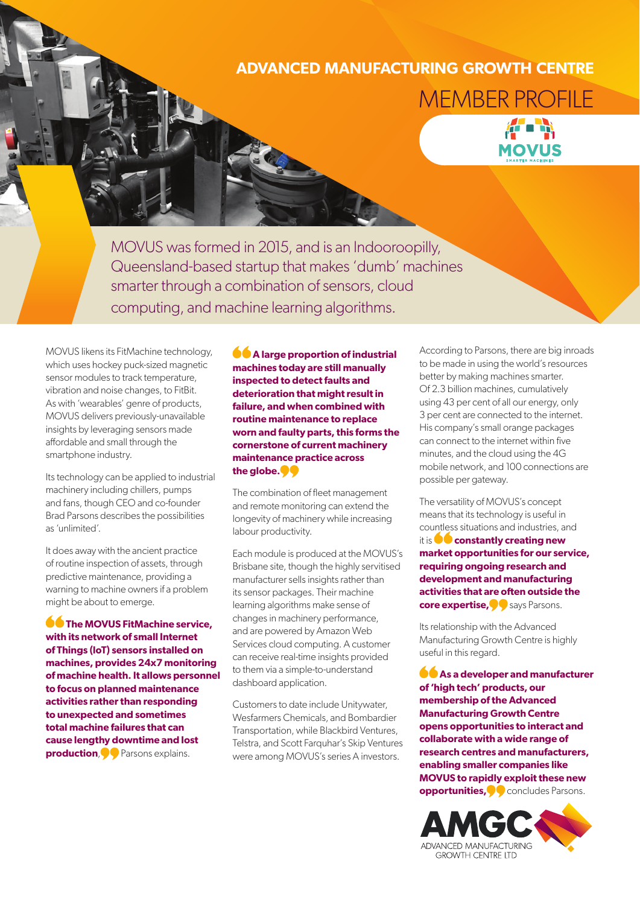## **ADVANCED MANUFACTURING GROWTH CENTRE** MEMBER PROFILE



MOVUS was formed in 2015, and is an Indooroopilly, Queensland-based startup that makes 'dumb' machines smarter through a combination of sensors, cloud computing, and machine learning algorithms.

MOVUS likens its FitMachine technology, which uses hockey puck-sized magnetic sensor modules to track temperature, vibration and noise changes, to FitBit. As with 'wearables' genre of products, MOVUS delivers previously-unavailable insights by leveraging sensors made affordable and small through the smartphone industry.

Its technology can be applied to industrial machinery including chillers, pumps and fans, though CEO and co-founder Brad Parsons describes the possibilities as 'unlimited'.

It does away with the ancient practice of routine inspection of assets, through predictive maintenance, providing a warning to machine owners if a problem might be about to emerge.

**CO** The MOVUS FitMachine service, **with its network of small Internet of Things (IoT) sensors installed on machines, provides 24x7 monitoring of machine health. It allows personnel to focus on planned maintenance activities rather than responding to unexpected and sometimes total machine failures that can cause lengthy downtime and lost production, O** Parsons explains.

**A** large proportion of industrial **machines today are still manually inspected to detect faults and deterioration that might result in failure, and when combined with routine maintenance to replace worn and faulty parts, this forms the cornerstone of current machinery maintenance practice across the globe.**

The combination of fleet management and remote monitoring can extend the longevity of machinery while increasing labour productivity.

Each module is produced at the MOVUS's Brisbane site, though the highly servitised manufacturer sells insights rather than its sensor packages. Their machine learning algorithms make sense of changes in machinery performance, and are powered by Amazon Web Services cloud computing. A customer can receive real-time insights provided to them via a simple-to-understand dashboard application.

Customers to date include Unitywater, Wesfarmers Chemicals, and Bombardier Transportation, while Blackbird Ventures, Telstra, and Scott Farquhar's Skip Ventures were among MOVUS's series A investors.

According to Parsons, there are big inroads to be made in using the world's resources better by making machines smarter. Of 2.3 billion machines, cumulatively using 43 per cent of all our energy, only 3 per cent are connected to the internet. His company's small orange packages can connect to the internet within five minutes, and the cloud using the 4G mobile network, and 100 connections are possible per gateway.

The versatility of MOVUS's concept means that its technology is useful in countless situations and industries, and it is **constantly creating new market opportunities for our service, requiring ongoing research and development and manufacturing activities that are often outside the core expertise,** says Parsons.

Its relationship with the Advanced Manufacturing Growth Centre is highly useful in this regard.

**As a developer and manufacturer of 'high tech' products, our membership of the Advanced Manufacturing Growth Centre opens opportunities to interact and collaborate with a wide range of research centres and manufacturers, enabling smaller companies like MOVUS to rapidly exploit these new opportunities, Concludes Parsons.**